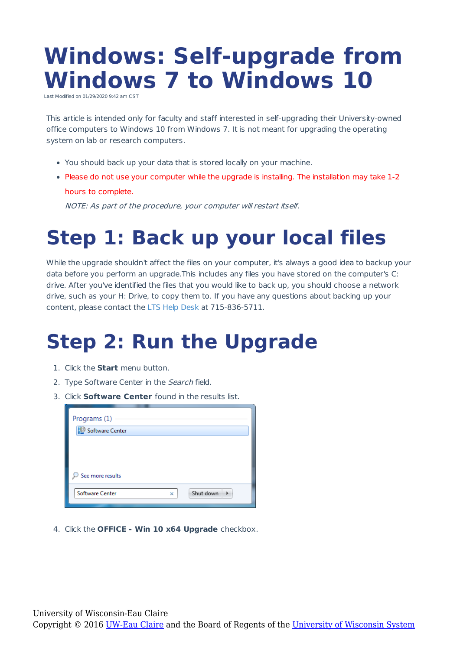## **Windows: Self-upgrade from Windows 7 to Windows 10**

Last Modified on 01/29/2020 9:42 am CS

This article is intended only for faculty and staff interested in self-upgrading their University-owned office computers to Windows 10 from Windows 7. It is not meant for upgrading the operating system on lab or research computers.

- You should back up your data that is stored locally on your machine.
- Please do not use your computer while the upgrade is installing. The installation may take 1-2 hours to complete.

NOTE: As part of the procedure, your computer will restart itself.

## **Step 1: Back up your local files**

While the upgrade shouldn't affect the files on your computer, it's always a good idea to backup your data before you perform an upgrade.This includes any files you have stored on the computer's C: drive. After you've identified the files that you would like to back up, you should choose a network drive, such as your H: Drive, to copy them to. If you have any questions about backing up your content, please contact the LTS Help Desk at 715-836-5711.

## **Step 2: Run the Upgrade**

- 1. Click the **Start** menu button.
- 2. Type Software Center in the Search field.
- 3. Click **Software Center** found in the results list.

| Programs (1)             |   |           |
|--------------------------|---|-----------|
| Software Center          |   |           |
|                          |   |           |
|                          |   |           |
|                          |   |           |
| $\circ$ See more results |   |           |
| <b>Software Center</b>   | × | Shut down |
|                          |   |           |

4. Click the **OFFICE - Win 10 x64 Upgrade** checkbox.